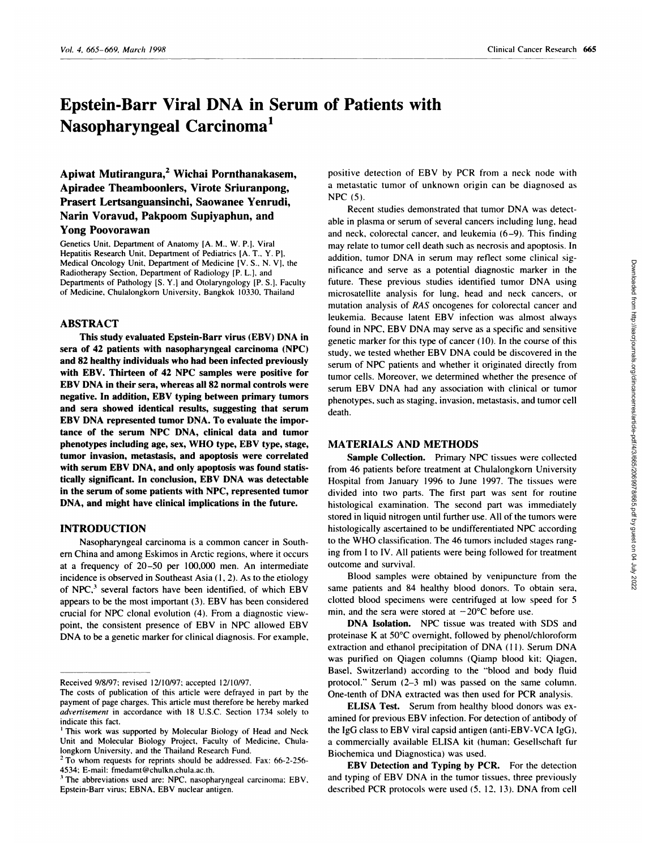# **Epstein-Barr Viral DNA in Serum of Patients with Nasopharyngeal Carcinoma1**

## **Apiwat Mutirangura,2 Wichai Pornthanakasem, Apiradee Theamboonlers, Virote Sriuranpong, Prasert Lertsanguansinchi, Saowanee Yenrudi, Narin Voravud, Pakpoom Supiyaphun, and Yong Poovorawan**

Genetics Unit, Department of Anatomy [A. M.. W. P.], Viral Hepatitis Research Unit. Department of Pediatrics [A. T.. Y. P]. Medical Oncology Unit, Department of Medicine [V. S.. N. V], the Radiotherapy Section, Department of Radiology [P. L.], and Departments of Pathology [S. Y.] and Otolaryngology [P. 5.]. Faculty of Medicine, Chulalongkorn University, Bangkok 10330. Thailand

#### **ABSTRACT**

**This study evaluated Epstein-Barr virus (EBV) DNA in sera of 42 patients with nasopharyngeal carcinoma (NPC) and 82 healthy individuals who had been infected previously with EBV. Thirteen of 42 NPC samples were positive for EBV DNA in their sera, whereas all 82 normal controls were negative. In addition, EBV typing between primary tumors and sera showed identical results, suggesting that serum EBV DNA represented tumor DNA. To evaluate the importance of the serum NPC DNA,clinical data and tumor phenotypes including age, sex, WHO type, EBV type, stage, tumor invasion, metastasis, and apoptosis were correlated with serum EBV DNA, and only apoptosis was found statistically significant. In conclusion, EBV DNA was detectable** in the serum of some patients with NPC, represented tumor **DNA, and might have clinical implications in the future.**

### **INTRODUCTION**

Nasopharyngeal carcinoma is a common cancer in South em China and among Eskimos in Arctic regions, where it occurs at a frequency of 20-50 per 100,000 men. An intermediate incidence is observed in Southeast Asia  $(1, 2)$ . As to the etiology of NPC,<sup>3</sup> several factors have been identified, of which EBV appears to be the most important (3). EBV has been considered crucial for NPC clonal evolution (4). From a diagnostic viewpoint, the consistent presence of EBV in NPC allowed EBV DNA to be a genetic marker for clinical diagnosis. For example,

positive detection of EBV by PCR from a neck node with a metastatic tumor of unknown origin can be diagnosed as NPC (5).

Recent studies demonstrated that tumor DNA was detectabbe in plasma or serum of several cancers including lung. head and neck, colorectal cancer, and leukemia (6-9). This finding may relate to tumor cell death such as necrosis and apoptosis. In addition, tumor DNA in serum may reflect some clinical sig nificance and serve as a potential diagnostic marker in the future. These previous studies identified tumor DNA using microsatellite analysis for lung, head and neck cancers, or mutation analysis of *RAS* oncogenes for colorectal cancer and leukemia. Because latent EBV infection was almost always found in NPC. EBV DNA may serve as a specific and sensitive genetic marker for this type of cancer  $(10)$ . In the course of this study, we tested whether EBV DNA could be discovered in the serum of NPC patients and whether it originated directly from tumor cells. Moreover, we determined whether the presence of serum EBV DNA had any association with clinical or tumor phenotypes, such as staging, invasion, metastasis, and tumor cell death.

#### **MATERIALS AND METHODS**

**Sample Collection. Primary** NPC tissues were collected from 46 patients before treatment at Chulalongkorn University Hospital from January 1996 to June 1997. The tissues were divided into two parts. The first part was sent for routine histological examination. The second part was immediately stored in liquid nitrogen until further use. All of the tumors were histologically ascertained to be undifferentiated NPC according to the WHO classification. The 46 tumors included stages ranging from I to IV. All patients were being followed for treatment outcome and survival.

Blood samples were obtained by venipuncture from the same patients and 84 healthy blood donors. To obtain sera, clotted blood specimens were centrifuged at low speed for 5 min, and the sera were stored at  $-20^{\circ}$ C before use.

**DNA Isolation.** NPC tissue was treated with SDS and proteinase K at  $50^{\circ}$ C overnight, followed by phenol/chloroform extraction and ethanol precipitation of DNA (11). Serum DNA was purified on Qiagen columns (Qiamp blood kit; Qiagen, Basel, Switzerland) according to the "blood and body fluid protocol." Serum (2-3 ml) was passed on the same column. One-tenth of DNA extracted was then used for PCR analysis.

**ELISA Test.** Serum from healthy blood donors was ex amined for previous EBV infection. For detection of antibody of the IgG classto EBV viral capsid antigen (anti-EBV-VCA IgG). a commercially available ELISA kit (human; Gesellschaft fur Biochemica und Diagnostica) was used.

**EBV Detection and Typing by PCR.** For the detection and typing of EBV DNA in the tumor tissues, three previously described PCR protocols were used *(5.* 12, 13). DNA from cell

Received 9/8/97: revised 12/10/97; accepted 12/10/97.

The costs of publication of this article were defrayed in part by the payment of page charges. This article must therefore be hereby marked *advertisement* in accordance with 18 U.S.C. Section 1734 solely to indicate this fact.

**<sup>I</sup>** This work was supported by Molecular Biology of Head and Neck Unit and Molecular Biology Project, Faculty of Medicine, Chulalongkorn University. and the Thailand Research Fund.

**<sup>2</sup>** To whom requests for reprints should be addressed. Fax: 66-2-256- 4534; E-mail: fmedamt@chulkn.chula.ac.th.

**<sup>3</sup>** The abbreviations used are: NPC. nasopharyngeal carcinoma: EBV, Epstein-Barr virus; EBNA. EBV nuclear antigen.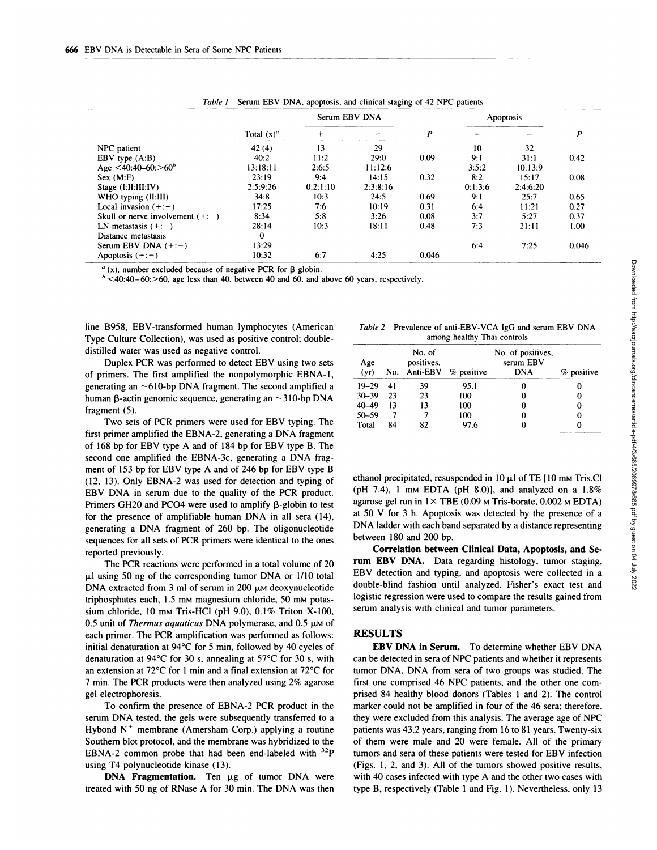|                                    | Total $(x)^d$ | Serum EBV DNA |          |       | Apoptosis |          |       |
|------------------------------------|---------------|---------------|----------|-------|-----------|----------|-------|
|                                    |               | $^{+}$        |          | P     | $\ddot{}$ |          | P     |
| NPC patient                        | 42(4)         | 13            | 29       |       | 10        | 32       |       |
| EBV type $(A:B)$                   | 40:2          | 11:2          | 29:0     | 0.09  | 9:1       | 31:1     | 0.42  |
| Age $\leq 40:40-60$ : $>60^b$      | 13:18:11      | 2:6:5         | 11:12:6  |       | 3:5:2     | 10:13:9  |       |
| Sex (M:F)                          | 23:19         | 9:4           | 14:15    | 0.32  | 8:2       | 15:17    | 0.08  |
| Stage $(I:II:III:IV)$              | 2:5:9:26      | 0:2:1:10      | 2:3:8:16 |       | 0:1:3:6   | 2:4:6:20 |       |
| WHO typing (II:III)                | 34:8          | 10:3          | 24:5     | 0.69  | 9:1       | 25:7     | 0.65  |
| Local invasion $(+;-)$             | 17:25         | 7:6           | 10:19    | 0.31  | 6:4       | 11:21    | 0.27  |
| Skull or nerve involvement $(+:-)$ | 8:34          | 5:8           | 3:26     | 0.08  | 3:7       | 5:27     | 0.37  |
| LN metastasis $(+:-)$              | 28:14         | 10:3          | 18:11    | 0.48  | 7:3       | 21:11    | 1.00  |
| Distance metastasis                | 0             |               |          |       |           |          |       |
| Serum EBV DNA $(+;-)$              | 13:29         |               |          |       | 6:4       | 7:25     | 0.046 |
| Apoptosis $(+:-)$                  | 10:32         | 6:7           | 4:25     | 0.046 |           |          |       |

|  |  |  |  | Table 1 Serum EBV DNA, apoptosis, and clinical staging of 42 NPC patients |  |
|--|--|--|--|---------------------------------------------------------------------------|--|
|  |  |  |  |                                                                           |  |

 $U(x)$ , number excluded because of negative PCR for  $\beta$  globin.

 $b$  <40:40-60:>60, age less than 40, between 40 and 60, and above 60 years, respectively.

line B958, EBV-transformed human lymphocytes (American Type Culture Collection), was used as positive control; doubledistilled water was used as negative control.

Duplex PCR was performed to detect EBV using two sets of primers. The first amplified the nonpolymorphic EBNA-l, generating an  $\sim$ 610-bp DNA fragment. The second amplified a human  $\beta$ -actin genomic sequence, generating an  $\sim$ 310-bp DNA fragment (5).

Two sets of PCR primers were used for EBV typing. The first primer amplified the EBNA-2, generating a DNA fragment of 168 bp for EBV type A and of 1 84 bp for EBV type B. The second one amplified the EBNA-3c, generating a DNA frag ment of 153 bp for EBV type A and of 246 bp for EBV type B (12, 13). Only EBNA-2 was used for detection and typing of EBV DNA in serum due to the quality of the PCR product. Primers GH20 and PCO4 were used to amplify B-globin to test for the presence of amplifiable human DNA in all sera (14), generating a DNA fragment of 260 bp. The oligonucleotide sequences for all sets of PCR primers were identical to the ones reported previously.

The PCR reactions were performed in a total volume of 20  $\mu$ l using 50 ng of the corresponding tumor DNA or 1/10 total DNA extracted from 3 ml of serum in 200 μM deoxynucleotide triphosphates each, 1.5 mm magnesium chloride, 50 mm potassium chloride, 10 mm Tris-HCl (pH 9.0),  $0.1\%$  Triton X-100, 0.5 unit of *Thermus aquaticus* DNA polymerase, and 0.5 μm of each primer. The PCR amplification was performed as follows: initial denaturation at 94°C for 5 min, followed by 40 cycles of denaturation at 94 $\rm{°C}$  for 30 s, annealing at 57 $\rm{°C}$  for 30 s, with an extension at  $72^{\circ}C$  for 1 min and a final extension at  $72^{\circ}C$  for 7 min. The PCR products were then analyzed using 2% agarose gel electrophoresis.

To confirm the presence of EBNA-2 PCR product in the serum DNA tested, the gels were subsequently transferred to a Hybond  $N^+$  membrane (Amersham Corp.) applying a routine Southern blot protocol, and the membrane was hybridized to the EBNA-2 common probe that had been end-labeled with  $32P$ using T4 polynucleotide kinase (13).

**DNA Fragmentation.** Ten  $\mu$ g of tumor DNA were treated with 50 ng of RNase A for 30 min. The DNA was then type B, respectively (Table 1 and Fig. 1). Nevertheless, only 13

| Table 2 Prevalence of anti-EBV-VCA IgG and serum EBV DNA |  |
|----------------------------------------------------------|--|
| among healthy Thai controls                              |  |

**Correlation between Clinical Data, Apoptosis, and Se rum EBV DNA. Data** regarding histology, tumor staging, EBV detection and typing, and apoptosis were collected in a double-blind fashion until analyzed. Fisher's exact test and logistic regression were used to compare the results gained from serum analysis with clinical and tumor parameters.

#### **RESULTS**

**EBV DNA in Serum. To** determine whether EBV DNA can be detected in sera of NPC patients and whether it represents tumor DNA, DNA from sera of two groups was studied. The first one comprised 46 NPC patients, and the other one com prised 84 healthy blood donors (Tables I and 2). The control marker could not be amplified in four of the 46 sera; therefore, they were excluded from this analysis. The average age of NPC patients was 43.2 years, ranging from 16to 81 years. Twenty-six of them were male and 20 were female. All of the primary tumors and sera of these patients were tested for EBV infection (Figs. 1, 2, and 3). All of the tumors showed positive results, with 40 cases infected with type A and the other two cases with years, respectively,<br>
Table 2 Prevalence of anti-EBV-VCA IgC and serum EBV DNA<br>
among healthy Thai controls<br>
No. of positives.<br>
Age<br>  $\frac{1}{2}$  and  $\frac{1}{2}$  and  $\frac{1}{2}$  and  $\frac{1}{2}$ <br>
100 0 0 0 0 0<br>
40 0 1 3 1 100 0 0 0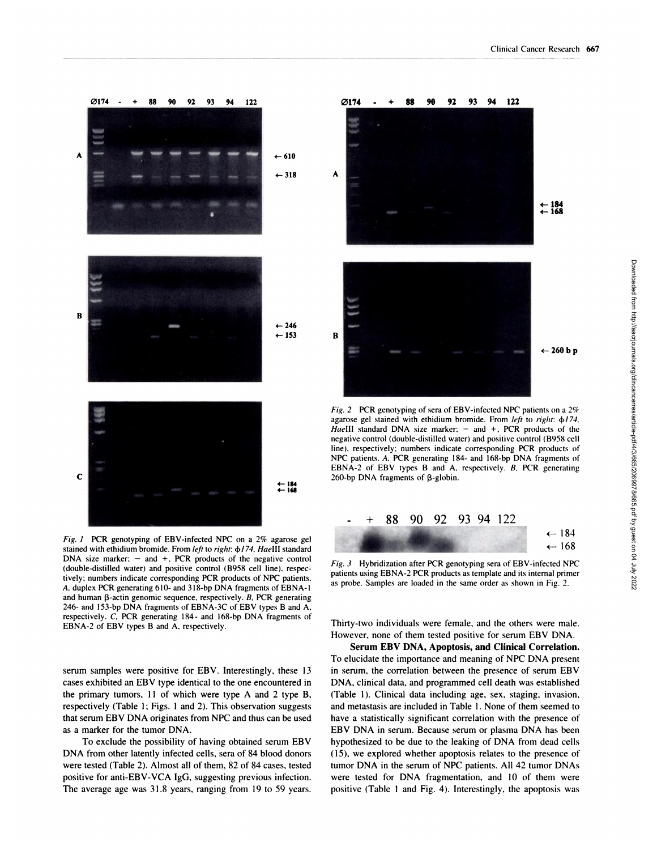

*Fig. 1* PCR genotyping of EBV-infected NPC on a 2% agarose gel stained with ethidium bromide. From left to right:  $\phi$ 174, HaeIII standard DNA size marker;  $-$  and  $+$ , PCR products of the negative control (double-distilled water) and positive control (B958 cell line). respectively; numbers indicate corresponding PCR products of NPC patients. *A,* duplex PCR generating 610- and 318-bp DNA fragments of EBNA-l and human  $\beta$ -actin genomic sequence, respectively. *B*, PCR generating 246- and lS3-bp DNA fragments of EBNA-3C of EBV types <sup>B</sup> and A.respectively. *C,* **PCR** generating 184- and l68-bp DNA fragments of EBNA-2 of EBV types B and A. respectively.

serum samples were positive for EBV. Interestingly, these 13 cases exhibited an EBV type identical to the one encountered in the primary tumors,  $11$  of which were type A and 2 type B, respectively (Table 1; Figs. 1 and 2). This observation suggests that serum EBV DNA originates from NPC and thus can be used as a marker for the tumor DNA.

To exclude the possibility of having obtained serum EBV DNA from other latently infected cells, sera of 84 blood donors were tested (Table 2). Almost all of them, 82 of 84 cases, tested positive for anti-EBV-VCA IgG, suggesting previous infection. The average age was 31.8 years, ranging from 19 to 59 years.



*Fig. 2* **PCR** genotyping of sera of EBV-infected NPC patients on a 2% agarose gel stained with ethidium bromide. From *left* to *right*:  $\phi$ 174. HaeIII standard DNA size marker;  $-$  and  $+$ , PCR products of the negative control (double-distilled water) and positive control (B958 cell line), respectively; numbers indicate corresponding PCR products of NPC patients. *A.* PCR generating 184- and l68-bp DNA fragments of EBNA-2 of EBV types B and A. respectively. *B.* **PCR** generating 260-bp DNA fragments of  $\beta$ -globin.



*Fig. 3* Hybridization after PCR genotyping sera of EBV-infected NPC patients using EBNA-2 PCR products as template and its internal primer as probe. Samples are loaded in the same order as shown in Fig. 2.

Thirty-two individuals were female. and the others were male. However, none of them tested positive for serum EBV DNA.

**Serum EBV DNA, Apoptosis, and Clinical Correlation.** To elucidate the importance and meaning of NPC DNA present in serum, the correlation between the presence of serum EBV DNA, clinical data, and programmed cell death was established (Table 1). Clinical data including age, sex, staging, invasion, and metastasis are included in Table 1. None of them seemed to have a statistically significant correlation with the presence of EBV DNA in serum. Because serum or plasma DNA has been hypothesized to be due to the leaking of DNA from dead cells (15), we explored whether apoptosis relates to the presence of tumor DNA in the serum of NPC patients. All 42 tumor DNAs were tested for DNA fragmentation. and 10 of them were positive (Table I and Fig. 4). Interestingly, the apoptosis was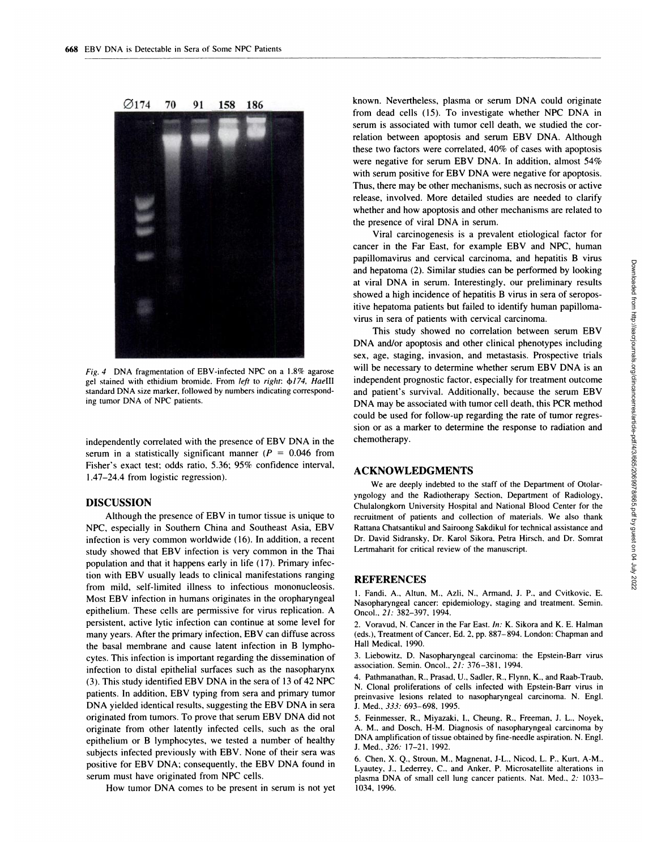

*Fig. 4* DNA fragmentation of EBV-infected NPC on a 1.8% agarose gel stained with ethidium bromide. From *left* to *rig/it: 4il74, HaeIIl* standard DNA size marker, followed by numbers indicating corresponding tumor DNA of NPC patients.

independently correlated with the presence of EBV DNA in the serum in a statistically significant manner  $(P = 0.046$  from Fisher's exact test; odds ratio, *5.36;* 95% confidence interval, 1 .47-24.4 from logistic regression).

### **DISCUSSION**

Although the presence of EBV in tumor tissue is unique to NPC, especially in Southern China and Southeast Asia, EBV infection is very common worldwide (16). In addition, a recent study showed that EBV infection is very common in the Thai population and that it happens early in life (17). Primary infection with EBV usually beads to clinical manifestations ranging from mild, self-limited illness to infectious mononucleosis. Most EBV infection in humans originates in the oropharyngeal epithelium. These cells are permissive for virus replication. A persistent, active lytic infection can continue at some level for many years. After the primary infection, EBV can diffuse across the basal membrane and cause latent infection in B lymphocytes. This infection is important regarding the dissemination of infection to distal epithelial surfaces such as the nasopharynx  $(3)$ . This study identified EBV DNA in the sera of 13 of 42 NPC patients. In addition, EBV typing from sera and primary tumor DNA yielded identical results, suggesting the EBV DNA in sera originated from tumors. To prove that serum EBV DNA did not originate from other latently infected cells, such as the oral epithelium or B lymphocytes, we tested a number of healthy subjects infected previously with EBV. None of their sera was positive for EBV DNA; consequently, the EBV DNA found in serum must have originated from NPC cells.

How tumor DNA comes to be present in serum is notyet

known. Nevertheless, plasma or serum DNA could originate from dead cells (15). To investigate whether NPC DNA in serum is associated with tumor cell death, we studied the correlation between apoptosis and serum EBV DNA. Although these two factors were correlated, 40% of cases with apoptosis were negative for serum EBV DNA. In addition, almost 54% with serum positive for EBV DNA were negative for apoptosis. Thus, there may be other mechanisms, such as necrosis or active release, involved. More detailed studies are needed to clarify whether and how apoptosis and other mechanisms are related to the presence of viral DNA in serum.

Viral carcinogenesis is a prevalent etiological factor for cancer in the Far East, for example EBV and NPC, human papilbomavirus and cervical carcinoma, and hepatitis B virus and hepatoma (2). Similar studies can be performed by looking at viral DNA in serum. Interestingly. our preliminary results showed a high incidence of hepatitis B virus in sera of seropositive hepatoma patients but failed to identify human papillomavirus in sera of patients with cervical carcinoma.

From the matrix and correlation and the matrix and a proposition of the matrix of the matrix of the matrix of the matrix of the matrix of all tigh incidence of hepatitis B virus in sera of seropositional papilom hepatoma DNA and/or apoptosis and other clinical phenotypes including sex, age, staging, invasion, and metastasis. Prospective trials will be necessary to determine whether serum EBV DNA is an independent prognostic factor, especially for treatment outcome and patient's survival. Additionally, because the serum EBV DNA may be associated with tumor cell death, this PCR method could be used for follow-up regarding the rate of tumor regres sion or as a marker to determine the response to radiation and chemotherapy.

#### **ACKNOWLEDGMENTS**

We are deeply indebted to the staff of the Department of Otolar yngology and the Radiotherapy Section. Department of Radiology, Chulalongkorn University Hospital and National Blood Center for the recruitment of patients and collection of materials. We also thank Rattana Chatsantikul and Sairoong Sakdikul for technical assistance and Dr. David Sidransky, Dr. Karol Sikora. Petra Hirsch, and Dr. Somrat Lertmaharit for critical review of the manuscript.

#### **REFERENCES**

1. Fandi. A., Altun, M., Azli, N., Armand, J. P., and Cvitkovic, E. Nasopharyngeal cancer: epidemiology. staging and treatment. Semin. Oncol.. *21:* 382-397, 1994.

2. Voravud, N. Cancer in the Far East. *In:* K. Sikora and K. E. Halman (eds.), Treatment of Cancer, Ed. 2, pp. 887-894. London: Chapman and Hall Medical, 1990.

3. Liebowitz. D. Nasopharyngeal carcinoma: the Epstein-Barr virus association. Semin. Oncol., *21:* 376-381, 1994.

4. Pathmanathan, R.. Prasad, U., Sadler, R., Flynn, K., and Raab-Traub, N. Clonal proliferations of cells infected with Epstein-Barr virus in preinvasive lesions related to nasopharyngeal carcinoma. N. Engl. J. Med., 333: 693-698, 1995.

S. Feinmesser, R., Miyazaki, I., Cheung, R., Freeman, J. L.. Noyek, A. M.. and Dosch, H-M. Diagnosis of nasopharyngeal carcinoma by DNA amplification of tissue obtained by fine-needle aspiration. N. Engl. J. Med., 326: 17-21, 1992.

6. Chen, X. Q., Stroun, M., Magnenat. J-L.. Nicod. L. P.. Kurt. A-M., Lyautey, J.. Lederrey, C., and Anker, P. Microsatellite alterations in plasma DNA of small cell lung cancer patients. Nat. Med., *2:* 1033- 1034, 1996.